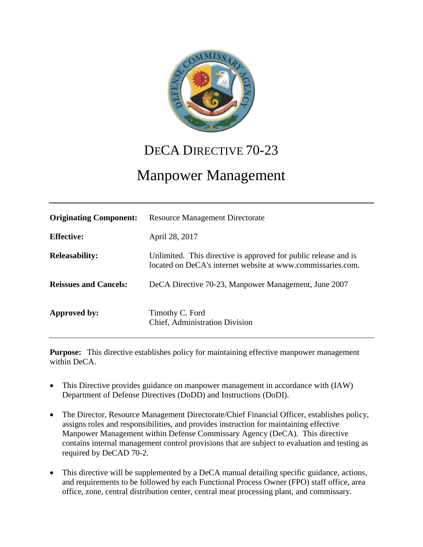

# DECA DIRECTIVE 70-23

# Manpower Management

| <b>Originating Component:</b> | <b>Resource Management Directorate</b>                                                                                         |
|-------------------------------|--------------------------------------------------------------------------------------------------------------------------------|
| <b>Effective:</b>             | April 28, 2017                                                                                                                 |
| <b>Releasability:</b>         | Unlimited. This directive is approved for public release and is<br>located on DeCA's internet website at www.commissaries.com. |
| <b>Reissues and Cancels:</b>  | DeCA Directive 70-23, Manpower Management, June 2007                                                                           |
| Approved by:                  | Timothy C. Ford<br>Chief, Administration Division                                                                              |

**Purpose:** This directive establishes policy for maintaining effective manpower management within DeCA.

- This Directive provides guidance on manpower management in accordance with (IAW) Department of Defense Directives (DoDD) and Instructions (DoDI).
- The Director, Resource Management Directorate/Chief Financial Officer, establishes policy, assigns roles and responsibilities, and provides instruction for maintaining effective Manpower Management within Defense Commissary Agency (DeCA). This directive contains internal management control provisions that are subject to evaluation and testing as required by DeCAD 70-2.
- This directive will be supplemented by a DeCA manual detailing specific guidance, actions, and requirements to be followed by each Functional Process Owner (FPO) staff office, area office, zone, central distribution center, central meat processing plant, and commissary.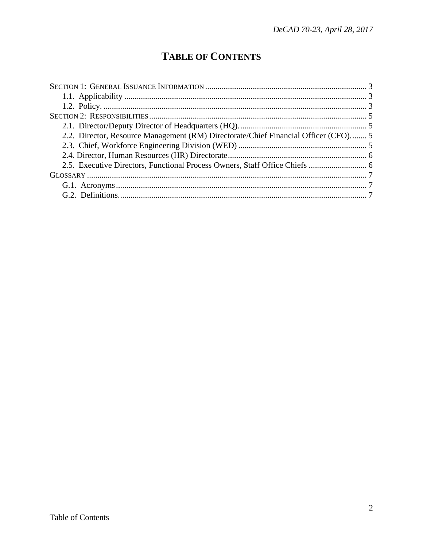## **TABLE OF CONTENTS**

| 2.2. Director, Resource Management (RM) Directorate/Chief Financial Officer (CFO) 5 |  |
|-------------------------------------------------------------------------------------|--|
|                                                                                     |  |
|                                                                                     |  |
|                                                                                     |  |
|                                                                                     |  |
|                                                                                     |  |
|                                                                                     |  |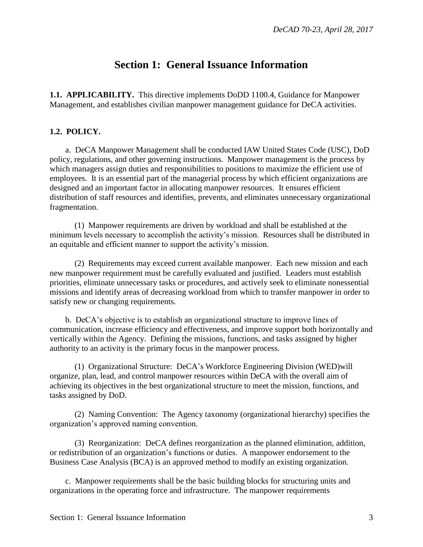### **Section 1: General Issuance Information**

<span id="page-2-1"></span><span id="page-2-0"></span>**1.1. APPLICABILITY.** This directive implements DoDD 1100.4, Guidance for Manpower Management, and establishes civilian manpower management guidance for DeCA activities.

#### <span id="page-2-2"></span>**1.2. POLICY.**

a. DeCA Manpower Management shall be conducted IAW United States Code (USC), DoD policy, regulations, and other governing instructions. Manpower management is the process by which managers assign duties and responsibilities to positions to maximize the efficient use of employees. It is an essential part of the managerial process by which efficient organizations are designed and an important factor in allocating manpower resources. It ensures efficient distribution of staff resources and identifies, prevents, and eliminates unnecessary organizational fragmentation.

(1) Manpower requirements are driven by workload and shall be established at the minimum levels necessary to accomplish the activity's mission. Resources shall be distributed in an equitable and efficient manner to support the activity's mission.

(2) Requirements may exceed current available manpower. Each new mission and each new manpower requirement must be carefully evaluated and justified. Leaders must establish priorities, eliminate unnecessary tasks or procedures, and actively seek to eliminate nonessential missions and identify areas of decreasing workload from which to transfer manpower in order to satisfy new or changing requirements.

b. DeCA's objective is to establish an organizational structure to improve lines of communication, increase efficiency and effectiveness, and improve support both horizontally and vertically within the Agency. Defining the missions, functions, and tasks assigned by higher authority to an activity is the primary focus in the manpower process.

(1) Organizational Structure: DeCA's Workforce Engineering Division (WED)will organize, plan, lead, and control manpower resources within DeCA with the overall aim of achieving its objectives in the best organizational structure to meet the mission, functions, and tasks assigned by DoD.

(2) Naming Convention: The Agency taxonomy (organizational hierarchy) specifies the organization's approved naming convention.

(3) Reorganization: DeCA defines reorganization as the planned elimination, addition, or redistribution of an organization's functions or duties. A manpower endorsement to the Business Case Analysis (BCA) is an approved method to modify an existing organization.

c. Manpower requirements shall be the basic building blocks for structuring units and organizations in the operating force and infrastructure. The manpower requirements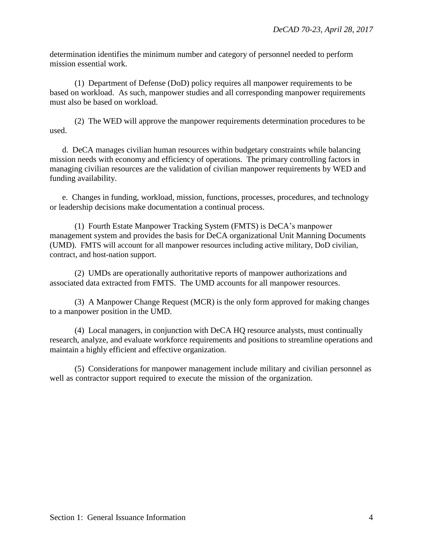determination identifies the minimum number and category of personnel needed to perform mission essential work.

(1) Department of Defense (DoD) policy requires all manpower requirements to be based on workload. As such, manpower studies and all corresponding manpower requirements must also be based on workload.

(2) The WED will approve the manpower requirements determination procedures to be used.

d. DeCA manages civilian human resources within budgetary constraints while balancing mission needs with economy and efficiency of operations. The primary controlling factors in managing civilian resources are the validation of civilian manpower requirements by WED and funding availability.

e. Changes in funding, workload, mission, functions, processes, procedures, and technology or leadership decisions make documentation a continual process.

(1) Fourth Estate Manpower Tracking System (FMTS) is DeCA's manpower management system and provides the basis for DeCA organizational Unit Manning Documents (UMD). FMTS will account for all manpower resources including active military, DoD civilian, contract, and host-nation support.

(2) UMDs are operationally authoritative reports of manpower authorizations and associated data extracted from FMTS. The UMD accounts for all manpower resources.

(3) A Manpower Change Request (MCR) is the only form approved for making changes to a manpower position in the UMD.

(4) Local managers, in conjunction with DeCA HQ resource analysts, must continually research, analyze, and evaluate workforce requirements and positions to streamline operations and maintain a highly efficient and effective organization.

(5) Considerations for manpower management include military and civilian personnel as well as contractor support required to execute the mission of the organization.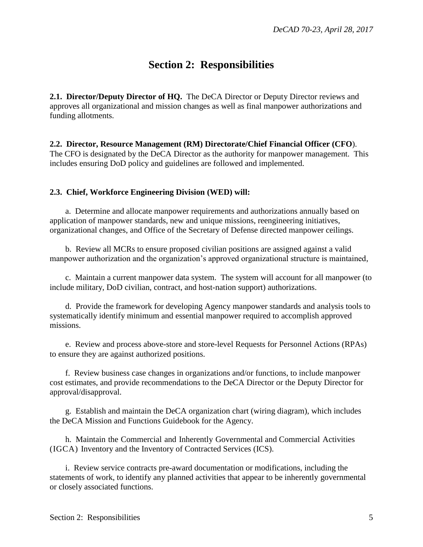### **Section 2: Responsibilities**

<span id="page-4-1"></span><span id="page-4-0"></span>**2.1. Director/Deputy Director of HQ.** The DeCA Director or Deputy Director reviews and approves all organizational and mission changes as well as final manpower authorizations and funding allotments.

<span id="page-4-2"></span>**2.2. Director, Resource Management (RM) Directorate/Chief Financial Officer (CFO**). The CFO is designated by the DeCA Director as the authority for manpower management. This includes ensuring DoD policy and guidelines are followed and implemented.

#### <span id="page-4-3"></span>**2.3. Chief, Workforce Engineering Division (WED) will:**

a. Determine and allocate manpower requirements and authorizations annually based on application of manpower standards, new and unique missions, reengineering initiatives, organizational changes, and Office of the Secretary of Defense directed manpower ceilings.

b. Review all MCRs to ensure proposed civilian positions are assigned against a valid manpower authorization and the organization's approved organizational structure is maintained,

c. Maintain a current manpower data system. The system will account for all manpower (to include military, DoD civilian, contract, and host-nation support) authorizations.

d. Provide the framework for developing Agency manpower standards and analysis tools to systematically identify minimum and essential manpower required to accomplish approved missions.

e. Review and process above-store and store-level Requests for Personnel Actions (RPAs) to ensure they are against authorized positions.

f. Review business case changes in organizations and/or functions, to include manpower cost estimates, and provide recommendations to the DeCA Director or the Deputy Director for approval/disapproval.

g. Establish and maintain the DeCA organization chart (wiring diagram), which includes the DeCA Mission and Functions Guidebook for the Agency.

h. Maintain the Commercial and Inherently Governmental and Commercial Activities (IGCA) Inventory and the Inventory of Contracted Services (ICS).

i. Review service contracts pre-award documentation or modifications, including the statements of work, to identify any planned activities that appear to be inherently governmental or closely associated functions.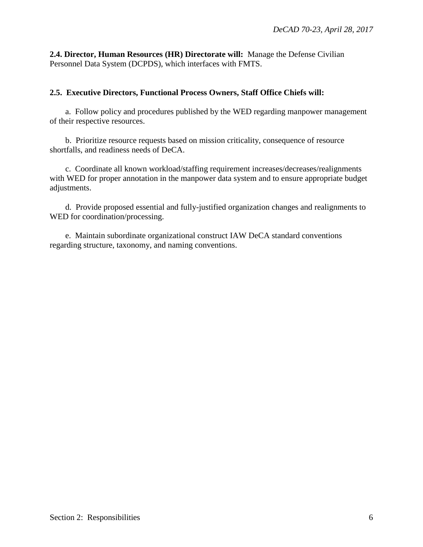<span id="page-5-0"></span>**2.4. Director, Human Resources (HR) Directorate will:** Manage the Defense Civilian Personnel Data System (DCPDS), which interfaces with FMTS.

### <span id="page-5-1"></span>**2.5. Executive Directors, Functional Process Owners, Staff Office Chiefs will:**

a. Follow policy and procedures published by the WED regarding manpower management of their respective resources.

b. Prioritize resource requests based on mission criticality, consequence of resource shortfalls, and readiness needs of DeCA.

c. Coordinate all known workload/staffing requirement increases/decreases/realignments with WED for proper annotation in the manpower data system and to ensure appropriate budget adjustments.

d. Provide proposed essential and fully-justified organization changes and realignments to WED for coordination/processing.

e. Maintain subordinate organizational construct IAW DeCA standard conventions regarding structure, taxonomy, and naming conventions.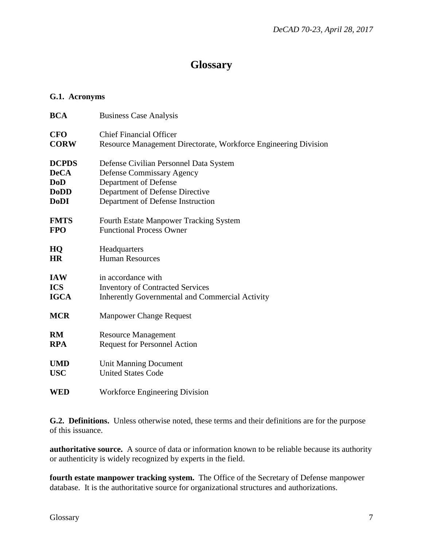### **Glossary**

#### <span id="page-6-1"></span><span id="page-6-0"></span>**G.1. Acronyms**

| <b>BCA</b>   | <b>Business Case Analysis</b>                                   |
|--------------|-----------------------------------------------------------------|
| <b>CFO</b>   | <b>Chief Financial Officer</b>                                  |
| <b>CORW</b>  | Resource Management Directorate, Workforce Engineering Division |
| <b>DCPDS</b> | Defense Civilian Personnel Data System                          |
| <b>DeCA</b>  | Defense Commissary Agency                                       |
| <b>DoD</b>   | Department of Defense                                           |
| <b>DoDD</b>  | Department of Defense Directive                                 |
| <b>DoDI</b>  | Department of Defense Instruction                               |
| <b>FMTS</b>  | <b>Fourth Estate Manpower Tracking System</b>                   |
| <b>FPO</b>   | <b>Functional Process Owner</b>                                 |
| HQ           | Headquarters                                                    |
| <b>HR</b>    | <b>Human Resources</b>                                          |
| <b>IAW</b>   | in accordance with                                              |
| <b>ICS</b>   | <b>Inventory of Contracted Services</b>                         |
| <b>IGCA</b>  | <b>Inherently Governmental and Commercial Activity</b>          |
| <b>MCR</b>   | <b>Manpower Change Request</b>                                  |
| RM           | <b>Resource Management</b>                                      |
| <b>RPA</b>   | <b>Request for Personnel Action</b>                             |
| <b>UMD</b>   | <b>Unit Manning Document</b>                                    |
| <b>USC</b>   | <b>United States Code</b>                                       |
| <b>WED</b>   | <b>Workforce Engineering Division</b>                           |

<span id="page-6-2"></span>**G.2. Definitions.** Unless otherwise noted, these terms and their definitions are for the purpose of this issuance.

**authoritative source.** A source of data or information known to be reliable because its authority or authenticity is widely recognized by experts in the field.

**fourth estate manpower tracking system.** The Office of the Secretary of Defense manpower database. It is the authoritative source for organizational structures and authorizations.